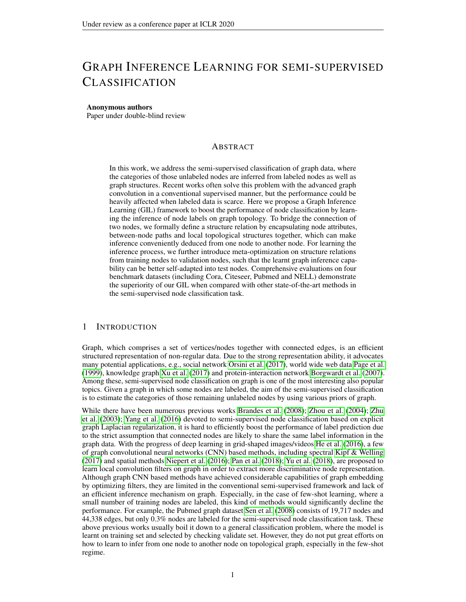# GRAPH INFERENCE LEARNING FOR SEMI-SUPERVISED CLASSIFICATION

#### Anonymous authors

Paper under double-blind review

## ABSTRACT

In this work, we address the semi-supervised classification of graph data, where the categories of those unlabeled nodes are inferred from labeled nodes as well as graph structures. Recent works often solve this problem with the advanced graph convolution in a conventional supervised manner, but the performance could be heavily affected when labeled data is scarce. Here we propose a Graph Inference Learning (GIL) framework to boost the performance of node classification by learning the inference of node labels on graph topology. To bridge the connection of two nodes, we formally define a structure relation by encapsulating node attributes, between-node paths and local topological structures together, which can make inference conveniently deduced from one node to another node. For learning the inference process, we further introduce meta-optimization on structure relations from training nodes to validation nodes, such that the learnt graph inference capability can be better self-adapted into test nodes. Comprehensive evaluations on four benchmark datasets (including Cora, Citeseer, Pubmed and NELL) demonstrate the superiority of our GIL when compared with other state-of-the-art methods in the semi-supervised node classification task.

## 1 INTRODUCTION

Graph, which comprises a set of vertices/nodes together with connected edges, is an efficient structured representation of non-regular data. Due to the strong representation ability, it advocates many potential applications, e.g., social network [Orsini et al.](#page-9-0) [\(2017\)](#page-9-0), world wide web data [Page et al.](#page-9-1) [\(1999\)](#page-9-1), knowledge graph [Xu et al.](#page-10-0) [\(2017\)](#page-10-0) and protein-interaction network [Borgwardt et al.](#page-8-0) [\(2007\)](#page-8-0). Among these, semi-supervised node classification on graph is one of the most interesting also popular topics. Given a graph in which some nodes are labeled, the aim of the semi-supervised classification is to estimate the categories of those remaining unlabeled nodes by using various priors of graph.

While there have been numerous previous works [Brandes et al.](#page-8-1) [\(2008\)](#page-8-1); [Zhou et al.](#page-10-1) [\(2004\)](#page-10-1); [Zhu](#page-10-2) [et al.](#page-10-2) [\(2003\)](#page-10-2); [Yang et al.](#page-10-3) [\(2016\)](#page-10-3) devoted to semi-supervised node classification based on explicit graph Laplacian regularization, it is hard to efficiently boost the performance of label prediction due to the strict assumption that connected nodes are likely to share the same label information in the graph data. With the progress of deep learning in grid-shaped images/videos [He et al.](#page-9-2) [\(2016\)](#page-9-2), a few of graph convolutional neural networks (CNN) based methods, including spectral [Kipf & Welling](#page-9-3) [\(2017\)](#page-9-3) and spatial methods [Niepert et al.](#page-9-4) [\(2016\)](#page-9-4); [Pan et al.](#page-9-5) [\(2018\)](#page-9-5); [Yu et al.](#page-10-4) [\(2018\)](#page-10-4), are proposed to learn local convolution filters on graph in order to extract more discriminative node representation. Although graph CNN based methods have achieved considerable capabilities of graph embedding by optimizing filters, they are limited in the conventional semi-supervised framework and lack of an efficient inference mechanism on graph. Especially, in the case of few-shot learning, where a small number of training nodes are labeled, this kind of methods would significantly decline the performance. For example, the Pubmed graph dataset [Sen et al.](#page-9-6) [\(2008\)](#page-9-6) consists of 19,717 nodes and 44,338 edges, but only 0.3% nodes are labeled for the semi-supervised node classification task. These above previous works usually boil it down to a general classification problem, where the model is learnt on training set and selected by checking validate set. However, they do not put great efforts on how to learn to infer from one node to another node on topological graph, especially in the few-shot regime.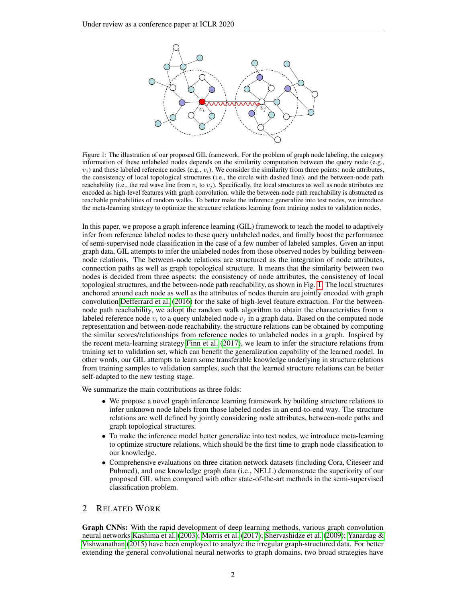<span id="page-1-0"></span>

encoded as high-level features with graph convolution, while the between-node path reachability is abstracted as encoded as high-level features with graph convolution, while the between-node path reachability is abstracted reachable probabilities of random walks. To better make the inference generalize into test nodes, we introduce The red waves. To better make the interested generalize the d the meta-learning strategy to optimize the structure relations learning from training nodes to validation nodes. Figure 1: The illustration of our proposed GIL framework. For the problem of graph node labeling, the category information of these unlabeled nodes depends on the similarity computation between the query node (e.g.,  $v_j$ ) and these labeled reference nodes (e.g.,  $v_i$ ). We consider the similarity from three points: node attributes, the consistency of local topological structures (i.e., the circle with dashed line), and the between-node path reachability (i.e., the red wave line from  $v_i$  to  $v_j$ ). Specifically, the local structures as well as node attributes are

In this paper, we propose a graph inference learning (GIL) framework to teach the model to adaptively infer from reference labeled nodes to these query unlabeled nodes, and finally boost the performance of semi-supervised node classification in the case of a few number of labeled samples. Given an input graph data, GIL attempts to infer the unlabeled nodes from those observed nodes by building betweennode relations. The between-node relations are structured as the integration of node attributes, connection paths as well as graph topological structure. It means that the similarity between two nodes is decided from three aspects: the consistency of node attributes, the consistency of local topological structures, and the between-node path reachability, as shown in Fig. [1.](#page-1-0) The local structures anchored around each node as well as the attributes of nodes therein are jointly encoded with graph convolution [Defferrard et al.](#page-9-7) [\(2016\)](#page-9-7) for the sake of high-level feature extraction. For the betweennode path reachability, we adopt the random walk algorithm to obtain the characteristics from a labeled reference node  $v_i$  to a query unlabeled node  $v_j$  in a graph data. Based on the computed node representation and between-node reachability, the structure relations can be obtained by computing the similar scores/relationships from reference nodes to unlabeled nodes in a graph. Inspired by the recent meta-learning strategy [Finn et al.](#page-9-8) [\(2017\)](#page-9-8), we learn to infer the structure relations from training set to validation set, which can benefit the generalization capability of the learned model. In other words, our GIL attempts to learn some transferable knowledge underlying in structure relations from training samples to validation samples, such that the learned structure relations can be better self-adapted to the new testing stage.

We summarize the main contributions as three folds:

- We propose a novel graph inference learning framework by building structure relations to infer unknown node labels from those labeled nodes in an end-to-end way. The structure relations are well defined by jointly considering node attributes, between-node paths and graph topological structures.
- To make the inference model better generalize into test nodes, we introduce meta-learning to optimize structure relations, which should be the first time to graph node classification to our knowledge.
- Comprehensive evaluations on three citation network datasets (including Cora, Citeseer and Pubmed), and one knowledge graph data (i.e., NELL) demonstrate the superiority of our proposed GIL when compared with other state-of-the-art methods in the semi-supervised classification problem.

## 2 RELATED WORK

Graph CNNs: With the rapid development of deep learning methods, various graph convolution neural networks [Kashima et al.](#page-9-9) [\(2003\)](#page-9-9); [Morris et al.](#page-9-10) [\(2017\)](#page-9-10); [Shervashidze et al.](#page-9-11) [\(2009\)](#page-9-11); [Yanardag &](#page-10-5) [Vishwanathan](#page-10-5) [\(2015\)](#page-10-5) have been employed to analyze the irregular graph-structured data. For better extending the general convolutional neural networks to graph domains, two broad strategies have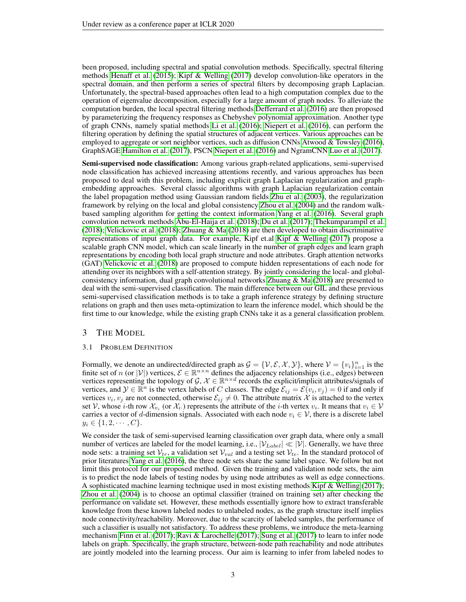been proposed, including spectral and spatial convolution methods. Specifically, spectral filtering methods [Henaff et al.](#page-9-12) [\(2015\)](#page-9-12); [Kipf & Welling](#page-9-3) [\(2017\)](#page-9-3) develop convolution-like operators in the spectral domain, and then perform a series of spectral filters by decomposing graph Laplacian. Unfortunately, the spectral-based approaches often lead to a high computation complex due to the operation of eigenvalue decomposition, especially for a large amount of graph nodes. To alleviate the computation burden, the local spectral filtering methods [Defferrard et al.](#page-9-7) [\(2016\)](#page-9-7) are then proposed by parameterizing the frequency responses as Chebyshev polynomial approximation. Another type of graph CNNs, namely spatial methods [Li et al.](#page-9-13) [\(2016\)](#page-9-13); [Niepert et al.](#page-9-4) [\(2016\)](#page-9-4), can perform the filtering operation by defining the spatial structures of adjacent vertices. Various approaches can be employed to aggregate or sort neighbor vertices, such as diffusion CNNs [Atwood & Towsley](#page-8-2) [\(2016\)](#page-8-2), GraphSAGE [Hamilton et al.](#page-9-14) [\(2017\)](#page-9-14), PSCN [Niepert et al.](#page-9-4) [\(2016\)](#page-9-4) and NgramCNN [Luo et al.](#page-9-15) [\(2017\)](#page-9-15).

Semi-supervised node classification: Among various graph-related applications, semi-supervised node classification has achieved increasing attentions recently, and various approaches has been proposed to deal with this problem, including explicit graph Laplacian regularization and graphembedding approaches. Several classic algorithms with graph Laplacian regularization contain the label propagation method using Gaussian random fields [Zhu et al.](#page-10-2) [\(2003\)](#page-10-2), the regularization framework by relying on the local and global consistency [Zhou et al.](#page-10-1) [\(2004\)](#page-10-1) and the random walkbased sampling algorithm for getting the context information [Yang et al.](#page-10-3) [\(2016\)](#page-10-3). Several graph convolution network methods [Abu-El-Haija et al.](#page-8-3) [\(2018\)](#page-8-3); [Du et al.](#page-9-16) [\(2017\)](#page-9-16); [Thekumparampil et al.](#page-10-6) [\(2018\)](#page-10-6); [Velickovic et al.](#page-10-7) [\(2018\)](#page-10-7); [Zhuang & Ma](#page-10-8) [\(2018\)](#page-10-8) are then developed to obtain discriminative representations of input graph data. For example, Kipf et.al [Kipf & Welling](#page-9-3) [\(2017\)](#page-9-3) propose a scalable graph CNN model, which can scale linearly in the number of graph edges and learn graph representations by encoding both local graph structure and node attributes. Graph attention networks (GAT) [Velickovic et al.](#page-10-7) [\(2018\)](#page-10-7) are proposed to compute hidden representations of each node for attending over its neighbors with a self-attention strategy. By jointly considering the local- and globalconsistency information, dual graph convolutional networks [Zhuang & Ma](#page-10-8) [\(2018\)](#page-10-8) are presented to deal with the semi-supervised classification. The main difference between our GIL and these previous semi-supervised classification methods is to take a graph inference strategy by defining structure relations on graph and then uses meta-optimization to learn the inference model, which should be the first time to our knowledge, while the existing graph CNNs take it as a general classification problem.

## 3 THE MODEL

## 3.1 PROBLEM DEFINITION

Formally, we denote an undirected/directed graph as  $\mathcal{G} = \{ \mathcal{V}, \mathcal{E}, \mathcal{X}, \mathcal{Y} \}$ , where  $\mathcal{V} = \{ v_i \}_{i=1}^n$  is the finite set of n (or |V|) vertices,  $\mathcal{E} \in \mathbb{R}^{n \times n}$  defines the adjacency relationships (i.e., edges) between vertices representing the topology of G,  $X \in \mathbb{R}^{n \times d}$  records the explicit/implicit attributes/signals of vertices, and  $\mathcal{Y} \in \mathbb{R}^n$  is the vertex labels of C classes. The edge  $\mathcal{E}_{ij} = \mathcal{E}(v_i, v_j) = 0$  if and only if vertices  $v_i, v_j$  are not connected, otherwise  $\mathcal{E}_{ij} \neq 0$ . The attribute matrix X is attached to the vertex set V, whose *i*-th row  $\mathcal{X}_{v_i}$  (or  $\mathcal{X}_{i}$ .) represents the attribute of the *i*-th vertex  $v_i$ . It means that  $v_i \in \mathcal{V}$ carries a vector of d-dimension signals. Associated with each node  $v_i \in V$ , there is a discrete label  $y_i \in \{1, 2, \cdots, C\}.$ 

We consider the task of semi-supervised learning classification over graph data, where only a small number of vertices are labeled for the model learning, i.e.,  $|\mathcal{V}_{Label}| \ll |\mathcal{V}|$ . Generally, we have three node sets: a training set  $V_{tr}$ , a validation set  $V_{val}$  and a testing set  $V_{te}$ . In the standard protocol of prior literatures [Yang et al.](#page-10-3) [\(2016\)](#page-10-3), the three node sets share the same label space. We follow but not limit this protocol for our proposed method. Given the training and validation node sets, the aim is to predict the node labels of testing nodes by using node attributes as well as edge connections. A sophisticated machine learning technique used in most existing methods [Kipf & Welling](#page-9-3) [\(2017\)](#page-9-3); [Zhou et al.](#page-10-1) [\(2004\)](#page-10-1) is to choose an optimal classifier (trained on training set) after checking the performance on validate set. However, these methods essentially ignore how to extract transferable knowledge from these known labeled nodes to unlabeled nodes, as the graph structure itself implies node connectivity/reachability. Moreover, due to the scarcity of labeled samples, the performance of such a classifier is usually not satisfactory. To address these problems, we introduce the meta-learning mechanism [Finn et al.](#page-9-8) [\(2017\)](#page-9-8); [Ravi & Larochelle](#page-9-17) [\(2017\)](#page-9-17); [Sung et al.](#page-9-18) [\(2017\)](#page-9-18) to learn to infer node labels on graph. Specifically, the graph structure, between-node path reachability and node attributes are jointly modeled into the learning process. Our aim is learning to infer from labeled nodes to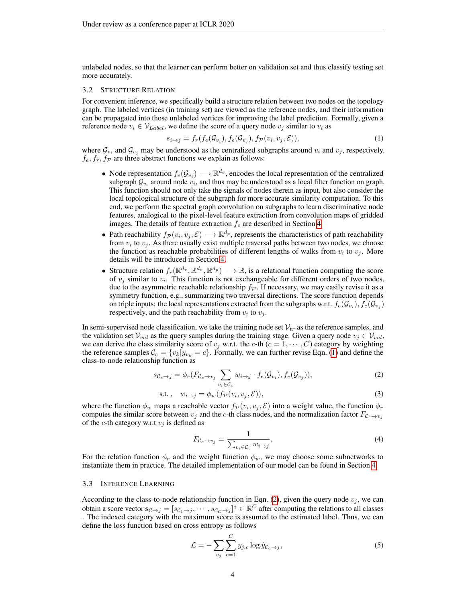unlabeled nodes, so that the learner can perform better on validation set and thus classify testing set more accurately.

#### 3.2 STRUCTURE RELATION

For convenient inference, we specifically build a structure relation between two nodes on the topology graph. The labeled vertices (in training set) are viewed as the reference nodes, and their information can be propagated into those unlabeled vertices for improving the label prediction. Formally, given a reference node  $v_i \in V_{Label}$ , we define the score of a query node  $v_j$  similar to  $v_i$  as

<span id="page-3-0"></span>
$$
s_{i \to j} = f_r(f_e(\mathcal{G}_{v_i}), f_e(\mathcal{G}_{v_j}), f_{\mathcal{P}}(v_i, v_j, \mathcal{E})),
$$
\n(1)

where  $\mathcal{G}_{v_i}$  and  $\mathcal{G}_{v_j}$  may be understood as the centralized subgraphs around  $v_i$  and  $v_j$ , respectively.  $f_e, f_r, f_{\mathcal{P}}$  are three abstract functions we explain as follows:

- Node representation  $f_e(\mathcal{G}_{v_i}) \longrightarrow \mathbb{R}^{d_v}$ , encodes the local representation of the centralized subgraph  $\mathcal{G}_{v_i}$  around node  $v_i$ , and thus may be understood as a local filter function on graph. This function should not only take the signals of nodes therein as input, but also consider the local topological structure of the subgraph for more accurate similarity computation. To this end, we perform the spectral graph convolution on subgraphs to learn discriminative node features, analogical to the pixel-level feature extraction from convolution maps of gridded images. The details of feature extraction  $f_e$  are described in Section [4.](#page-4-0)
- Path reachability  $f_P(v_i, v_j, \mathcal{E}) \longrightarrow \mathbb{R}^{d_p}$ , represents the characteristics of path reachability from  $v_i$  to  $v_j$ . As there usually exist multiple traversal paths between two nodes, we choose the function as reachable probabilities of different lengths of walks from  $v_i$  to  $v_j$ . More details will be introduced in Section [4.](#page-4-0)
- Structure relation  $f_r(\mathbb{R}^{d_v}, \mathbb{R}^{d_v}, \mathbb{R}^{d_p}) \longrightarrow \mathbb{R}$ , is a relational function computing the score of  $v_j$  similar to  $v_i$ . This function is not exchangeable for different orders of two nodes, due to the asymmetric reachable relationship  $f_{\mathcal{P}}$ . If necessary, we may easily revise it as a symmetry function, e.g., summarizing two traversal directions. The score function depends on triple inputs: the local representations extracted from the subgraphs w.r.t.  $f_e(\mathcal{G}_{v_i}), f_e(\mathcal{G}_{v_j})$ respectively, and the path reachability from  $v_i$  to  $v_j$ .

In semi-supervised node classification, we take the training node set  $V_{tr}$  as the reference samples, and the validation set  $V_{val}$  as the query samples during the training stage. Given a query node  $v_j \in V_{val}$ , we can derive the class similarity score of  $v_i$  w.r.t. the c-th  $(c = 1, \dots, C)$  category by weighting the reference samples  $\mathcal{C}_c = \{v_k|y_{v_k} = c\}$ . Formally, we can further revise Eqn. [\(1\)](#page-3-0) and define the class-to-node relationship function as

$$
s_{\mathcal{C}_c \to j} = \phi_r(F_{\mathcal{C}_c \to v_j} \sum_{v_i \in \mathcal{C}_c} w_{i \to j} \cdot f_e(\mathcal{G}_{v_i}), f_e(\mathcal{G}_{v_j})),
$$
\n(2)

$$
s.t. , w_{i \to j} = \phi_w(f_{\mathcal{P}}(v_i, v_j, \mathcal{E})), \tag{3}
$$

where the function  $\phi_w$  maps a reachable vector  $f_p(v_i, v_j, \mathcal{E})$  into a weight value, the function  $\phi_r$ computes the similar score between  $v_j$  and the c-th class nodes, and the normalization factor  $F_{C_c \to v_j}$ of the c-th category w.r.t  $v_i$  is defined as

<span id="page-3-2"></span><span id="page-3-1"></span>
$$
F_{\mathcal{C}_c \to v_j} = \frac{1}{\sum_{v_i \in \mathcal{C}_c} w_{i \to j}}.
$$
\n(4)

For the relation function  $\phi_r$  and the weight function  $\phi_w$ , we may choose some subnetworks to instantiate them in practice. The detailed implementation of our model can be found in Section [4.](#page-4-0)

#### 3.3 INFERENCE LEARNING

According to the class-to-node relationship function in Eqn. [\(2\)](#page-3-1), given the query node  $v_i$ , we can obtain a score vector  $\mathbf{s}_{\mathcal{C}\to j} = [s_{\mathcal{C}_1\to j}, \cdots, s_{\mathcal{C}_C\to j}]^\intercal \in \mathbb{R}^C$  after computing the relations to all classes . The indexed category with the maximum score is assumed to the estimated label. Thus, we can define the loss function based on cross entropy as follows

$$
\mathcal{L} = -\sum_{v_j} \sum_{c=1}^{C} y_{j,c} \log \hat{y}_{\mathcal{C}_c \to j},\tag{5}
$$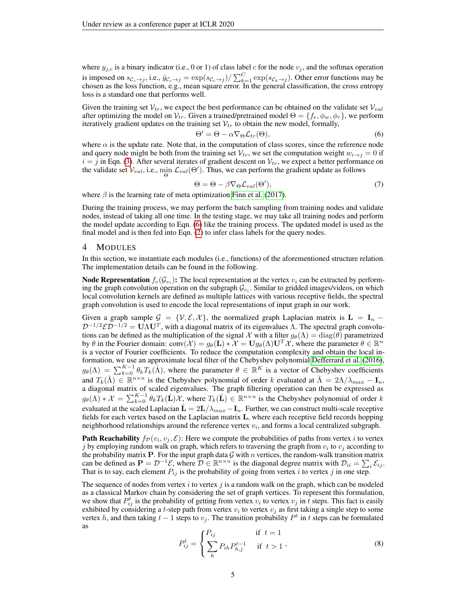where  $y_{i,c}$  is a binary indicator (i.e., 0 or 1) of class label c for the node  $v_j$ , and the softmax operation is imposed on  $s_{\mathcal{C}_c\to j}$ , i.e.,  $\hat{y}_{\mathcal{C}_c\to j} = \exp(s_{\mathcal{C}_c\to j})/\sum_{k=1}^C \exp(s_{\mathcal{C}_k\to j})$ . Other error functions may be chosen as the loss function, e.g., mean square error. In the general classification, the cross entropy loss is a standard one that performs well.

Given the training set  $V_{tr}$ , we expect the best performance can be obtained on the validate set  $V_{val}$ after optimizing the model on  $V_{tr}$ . Given a trained/pretrained model  $\Theta = \{f_e, \phi_w, \phi_r\}$ , we perform iteratively gradient updates on the training set  $V_{tr}$  to obtain the new model, formally,

<span id="page-4-1"></span>
$$
\Theta' = \Theta - \alpha \nabla_{\Theta} \mathcal{L}_{tr}(\Theta),\tag{6}
$$

where  $\alpha$  is the update rate. Note that, in the computation of class scores, since the reference node and query node might be both from the training set  $V_{tr}$ , we set the computation weight  $w_{i\to j} = 0$  if  $i = j$  in Eqn. [\(3\)](#page-3-2). After several iterates of gradient descent on  $\mathcal{V}_{tr}$ , we expect a better performance on the validate set  $V_{val}$ , i.e.,  $\min_{\Theta} \mathcal{L}_{val}(\Theta')$ . Thus, we can perform the gradient update as follows

$$
\Theta = \Theta - \beta \nabla_{\Theta} \mathcal{L}_{val}(\Theta'),\tag{7}
$$

where  $\beta$  is the learning rate of meta optimization [Finn et al.](#page-9-8) [\(2017\)](#page-9-8).

During the training process, we may perform the batch sampling from training nodes and validate nodes, instead of taking all one time. In the testing stage, we may take all training nodes and perform the model update according to Eqn. [\(6\)](#page-4-1) like the training process. The updated model is used as the final model and is then fed into Eqn. [\(2\)](#page-3-1) to infer class labels for the query nodes.

#### <span id="page-4-0"></span>4 MODULES

In this section, we instantiate each modules (i.e., functions) of the aforementioned structure relation. The implementation details can be found in the following.

**Node Representation**  $f_e(\mathcal{G}_{v_i})$ : The local representation at the vertex  $v_i$  can be extracted by performing the graph convolution operation on the subgraph  $\mathcal{G}_{v_i}$ . Similar to gridded images/videos, on which local convolution kernels are defined as multiple lattices with various receptive fields, the spectral graph convolution is used to encode the local representations of input graph in our work.

Given a graph sample  $G = \{V, E, X\}$ , the normalized graph Laplacian matrix is  $\mathbf{L} = \mathbf{I}_n$  –  $\mathcal{D}^{-1/2} \mathcal{E} \mathcal{D}^{-1/2} = \mathbf{U} \Lambda \mathbf{U}^T$ , with a diagonal matrix of its eigenvalues  $\Lambda$ . The spectral graph convolutions can be defined as the multiplication of the signal X with a filter  $g_{\theta}(\Lambda) = \text{diag}(\theta)$  parametrized by  $\theta$  in the Fourier domain: conv $(\mathcal{X}) = g_{\theta}(\mathbf{L}) * \mathcal{X} = \mathbf{U} g_{\theta}(\Lambda) \mathbf{U}^T \mathcal{X}$ , where the parameter  $\theta \in \mathbb{R}^n$ is a vector of Fourier coefficients. To reduce the computation complexity and obtain the local information, we use an approximate local filter of the Chebyshev polynomial [Defferrard et al.](#page-9-7) [\(2016\)](#page-9-7),  $g_{\theta}(\Lambda) = \sum_{k=0}^{K-1} \theta_k T_k(\hat{\Lambda})$ , where the parameter  $\theta \in \mathbb{R}^K$  is a vector of Chebyshev coefficients and  $T_k(\hat{\Lambda}) \in \mathbb{R}^{n \times n}$  is the Chebyshev polynomial of order k evaluated at  $\hat{\Lambda} = 2\Lambda/\lambda_{max} - \mathbf{I}_n$ , a diagonal matrix of scaled eigenvalues. The graph filtering operation can then be expressed as  $g_{\theta}(\Lambda) * \mathcal{X} = \sum_{k=0}^{K-1} \theta_k T_k(\hat{\mathbf{L}}) \mathcal{X}$ , where  $T_k(\hat{\mathbf{L}}) \in \mathbb{R}^{n \times n}$  is the Chebyshev polynomial of order k evaluated at the scaled Laplacian  $\hat{\mathbf{L}} = 2\mathbf{L}/\lambda_{max} - \mathbf{I}_n$ . Further, we can construct multi-scale receptive fields for each vertex based on the Laplacian matrix L, where each receptive field records hopping neighborhood relationships around the reference vertex  $v_i$ , and forms a local centralized subgraph.

**Path Reachability**  $f_{\mathcal{P}}(v_i, v_j, \mathcal{E})$ : Here we compute the probabilities of paths from vertex *i* to vertex j by employing random walk on graph, which refers to traversing the graph from  $v_i$  to  $v_j$  according to the probability matrix P. For the input graph data  $G$  with n vertices, the random-walk transition matrix can be defined as  $P = \mathcal{D}^{-1}\mathcal{E}$ , where  $\mathcal{D} \in \mathbb{R}^{n \times n}$  is the diagonal degree matrix with  $\mathcal{D}_{ii} = \sum_i \mathcal{E}_{ij}$ . That is to say, each element  $P_{ij}$  is the probability of going from vertex i to vertex j in one step.

The sequence of nodes from vertex  $i$  to vertex  $j$  is a random walk on the graph, which can be modeled as a classical Markov chain by considering the set of graph vertices. To represent this formulation, we show that  $P_{ij}^t$  is the probability of getting from vertex  $v_i$  to vertex  $v_j$  in t steps. This fact is easily exhibited by considering a t-step path from vertex  $v_i$  to vertex  $v_j$  as first taking a single step to some vertex h, and then taking  $t - 1$  steps to  $v_j$ . The transition probability  $P^t$  in t steps can be formulated as

$$
P_{ij}^{t} = \begin{cases} P_{ij} & \text{if } t = 1\\ \sum_{h} P_{ih} P_{h,j}^{t-1} & \text{if } t > 1 \end{cases},
$$
 (8)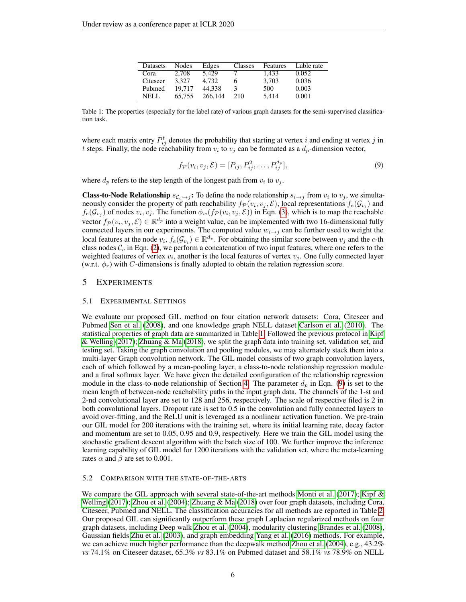| Datasets | <b>Nodes</b> | Edges   | Classes | Features | Lable rate |
|----------|--------------|---------|---------|----------|------------|
| Cora     | 2.708        | 5.429   |         | 1.433    | 0.052      |
| Citeseer | 3.327        | 4.732   |         | 3.703    | 0.036      |
| Pubmed   | 19.717       | 44.338  | 3       | 500      | 0.003      |
| NELL.    | 65.755       | 266,144 | 210     | 5.414    | 0.001      |

<span id="page-5-0"></span>Table 1: The properties (especially for the label rate) of various graph datasets for the semi-supervised classification task.

where each matrix entry  $P_{ij}^t$  denotes the probability that starting at vertex i and ending at vertex j in t steps. Finally, the node reachability from  $v_i$  to  $v_j$  can be formated as a  $d_p$ -dimension vector,

<span id="page-5-1"></span>
$$
f_{\mathcal{P}}(v_i, v_j, \mathcal{E}) = [P_{ij}, P_{ij}^2, \dots, P_{ij}^{d_p}],
$$
\n(9)

where  $d_p$  refers to the step length of the longest path from  $v_i$  to  $v_j$ .

**Class-to-Node Relationship**  $s_{C_c\to j}$ : To define the node relationship  $s_{i\to j}$  from  $v_i$  to  $v_j$ , we simultaneously consider the property of path reachability  $f_{\mathcal{P}}(v_i, v_j, \mathcal{E})$ , local representations  $f_e(\mathcal{G}_{v_i})$  and  $f_e(\mathcal{G}_{v_j})$  of nodes  $v_i, v_j$ . The function  $\phi_w(f_{\mathcal{P}}(v_i, v_j, \mathcal{E}))$  in Eqn. [\(3\)](#page-3-2), which is to map the reachable vector  $f_P(v_i, v_j, \mathcal{E}) \in \mathbb{R}^{d_p}$  into a weight value, can be implemented with two 16-dimensional fully connected layers in our experiments. The computed value  $w_{i\rightarrow j}$  can be further used to weight the local features at the node  $v_i, f_e(\mathcal{G}_{v_i}) \in \mathbb{R}^{d_v}$ . For obtaining the similar score between  $v_j$  and the c-th class nodes  $\mathcal{C}_c$  in Eqn. [\(2\)](#page-3-1), we perform a concatenation of two input features, where one refers to the weighted features of vertex  $v_i$ , another is the local features of vertex  $v_j$ . One fully connected layer (w.r.t.  $\phi_r$ ) with C-dimensions is finally adopted to obtain the relation regression score.

## 5 EXPERIMENTS

#### 5.1 EXPERIMENTAL SETTINGS

We evaluate our proposed GIL method on four citation network datasets: Cora, Citeseer and Pubmed [Sen et al.](#page-9-6) [\(2008\)](#page-9-6), and one knowledge graph NELL dataset [Carlson et al.](#page-9-19) [\(2010\)](#page-9-19). The statistical properties of graph data are summarized in Table [1.](#page-5-0) Followed the previous protocol in [Kipf](#page-9-3) [& Welling](#page-9-3) [\(2017\)](#page-9-3); [Zhuang & Ma](#page-10-8) [\(2018\)](#page-10-8), we split the graph data into training set, validation set, and testing set. Taking the graph convolution and pooling modules, we may alternately stack them into a multi-layer Graph convolution network. The GIL model consists of two graph convolution layers, each of which followed by a mean-pooling layer, a class-to-node relationship regression module and a final softmax layer. We have given the detailed configuration of the relationship regression module in the class-to-node relationship of Section [4.](#page-4-0) The parameter  $d_p$  in Eqn. [\(9\)](#page-5-1) is set to the mean length of between-node reachability paths in the input graph data. The channels of the 1-st and 2-nd convolutional layer are set to 128 and 256, respectively. The scale of respective filed is 2 in both convolutional layers. Dropout rate is set to 0.5 in the convolution and fully connected layers to avoid over-fitting, and the ReLU unit is leveraged as a nonlinear activation function. We pre-train our GIL model for 200 iterations with the training set, where its initial learning rate, decay factor and momentum are set to 0.05, 0.95 and 0.9, respectively. Here we train the GIL model using the stochastic gradient descent algorithm with the batch size of 100. We further improve the inference learning capability of GIL model for 1200 iterations with the validation set, where the meta-learning rates  $\alpha$  and  $\beta$  are set to 0.001.

### 5.2 COMPARISON WITH THE STATE-OF-THE-ARTS

We compare the GIL approach with several state-of-the-art methods [Monti et al.](#page-9-20)  $(2017)$ ; [Kipf &](#page-9-3) [Welling](#page-9-3) [\(2017\)](#page-9-3); [Zhou et al.](#page-10-1) [\(2004\)](#page-10-1); [Zhuang & Ma](#page-10-8) [\(2018\)](#page-10-8) over four graph datasets, including Cora, Citeseer, Pubmed and NELL. The classification accuracies for all methods are reported in Table [2.](#page-6-0) Our proposed GIL can significantly outperform these graph Laplacian regularized methods on four graph datasets, including Deep walk [Zhou et al.](#page-10-1) [\(2004\)](#page-10-1), modularity clustering [Brandes et al.](#page-8-1) [\(2008\)](#page-8-1), Gaussian fields [Zhu et al.](#page-10-2) [\(2003\)](#page-10-2), and graph embedding [Yang et al.](#page-10-3) [\(2016\)](#page-10-3) methods. For example, we can achieve much higher performance than the deepwalk method [Zhou et al.](#page-10-1) [\(2004\)](#page-10-1), e.g., 43.2% *vs* 74.1% on Citeseer dataset, 65.3% *vs* 83.1% on Pubmed dataset and 58.1% *vs* 78.9% on NELL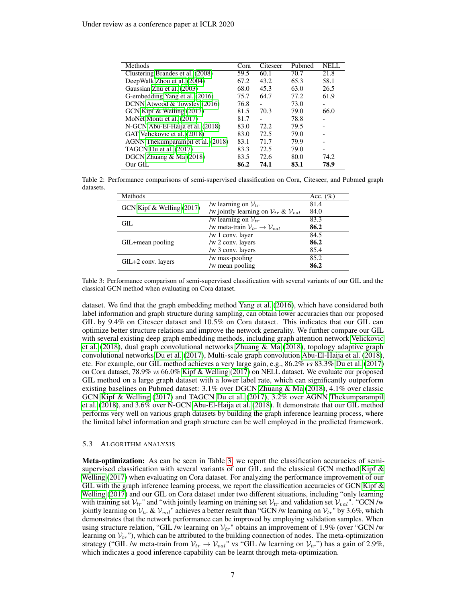<span id="page-6-0"></span>

| Methods                           | Cora | Citeseer | Pubmed | NELL |
|-----------------------------------|------|----------|--------|------|
| Clustering Brandes et al. (2008)  | 59.5 | 60.1     | 70.7   | 21.8 |
| DeepWalk Zhou et al. (2004)       | 67.2 | 43.2     | 65.3   | 58.1 |
| Gaussian Zhu et al. (2003)        | 68.0 | 45.3     | 63.0   | 26.5 |
| G-embedding Yang et al. (2016)    | 75.7 | 64.7     | 77.2   | 61.9 |
| DCNN Atwood & Towsley (2016)      | 76.8 |          | 73.0   |      |
| GCN Kipf & Welling (2017)         | 81.5 | 70.3     | 79.0   | 66.0 |
| MoNet Monti et al. (2017)         | 81.7 |          | 78.8   |      |
| N-GCN Abu-El-Haija et al. (2018)  | 83.0 | 72.2     | 79.5   |      |
| GAT Velickovic et al. (2018)      | 83.0 | 72.5     | 79.0   |      |
| AGNN Thekumparampil et al. (2018) | 83.1 | 71.7     | 79.9   |      |
| TAGCN Du et al. (2017)            | 83.3 | 72.5     | 79.0   |      |
| DGCN Zhuang $& Ma(2018)$          | 83.5 | 72.6     | 80.0   | 74.2 |
| Our GIL                           | 86.2 | 74.1     | 83.1   | 78.9 |

<span id="page-6-1"></span>Table 2: Performance comparisons of semi-supervised classification on Cora, Citeseer, and Pubmed graph datasets.

| Methods                   |                                                                | Acc. $(\%)$ |
|---------------------------|----------------------------------------------------------------|-------------|
| GCN Kipf & Welling (2017) | /w learning on $V_{tr}$                                        | 81.4        |
|                           | /w jointly learning on $V_{tr}$ & $V_{val}$                    | 84.0        |
| GIL.                      | /w learning on $V_{tr}$                                        | 83.3        |
|                           | /w meta-train $\mathcal{V}_{tr} \rightarrow \mathcal{V}_{val}$ | 86.2        |
|                           | /w $1$ conv. layer                                             | 84.5        |
| GIL+mean pooling          | /w 2 conv. layers                                              | 86.2        |
|                           | /w 3 conv. layers                                              | 85.4        |
|                           | /w max-pooling                                                 | 85.2        |
| GIL+2 conv. layers        | /w mean pooling                                                | 86.2        |

Table 3: Performance comparison of semi-supervised classification with several variants of our GIL and the classical GCN method when evaluating on Cora dataset.

dataset. We find that the graph embedding method [Yang et al.](#page-10-3) [\(2016\)](#page-10-3), which have considered both label information and graph structure during sampling, can obtain lower accuracies than our proposed GIL by 9.4% on Citeseer dataset and 10.5% on Cora dataset. This indicates that our GIL can optimize better structure relations and improve the network generality. We further compare our GIL with several existing deep graph embedding methods, including graph attention network [Velickovic](#page-10-7) [et al.](#page-10-7) [\(2018\)](#page-10-8), dual graph convolutional networks Zhuang  $\&$  Ma (2018), topology adaptive graph convolutional networks [Du et al.](#page-9-16) [\(2017\)](#page-9-16), Multi-scale graph convolution [Abu-El-Haija et al.](#page-8-3) [\(2018\)](#page-8-3), etc. For example, our GIL method achieves a very large gain, e.g., 86.2% *vs* 83.3% [Du et al.](#page-9-16) [\(2017\)](#page-9-16) on Cora dataset, 78.9% *vs* 66.0% [Kipf & Welling](#page-9-3) [\(2017\)](#page-9-3) on NELL dataset. We evaluate our proposed GIL method on a large graph dataset with a lower label rate, which can significantly outperform existing baselines on Pubmed dataset: 3.1% over DGCN [Zhuang & Ma](#page-10-8) [\(2018\)](#page-10-8), 4.1% over classic GCN [Kipf & Welling](#page-9-3) [\(2017\)](#page-9-3) and TAGCN [Du et al.](#page-9-16) [\(2017\)](#page-9-16), 3.2% over AGNN [Thekumparampil](#page-10-6) [et al.](#page-10-6) [\(2018\)](#page-10-6), and 3.6% over N-GCN [Abu-El-Haija et al.](#page-8-3) [\(2018\)](#page-8-3). It demonstrate that our GIL method performs very well on various graph datasets by building the graph inference learning process, where the limited label information and graph structure can be well employed in the predicted framework.

## 5.3 ALGORITHM ANALYSIS

Meta-optimization: As can be seen in Table [3,](#page-6-1) we report the classification accuracies of semisupervised classification with several variants of our GIL and the classical GCN method Kipf  $\&$ [Welling](#page-9-3) [\(2017\)](#page-9-3) when evaluating on Cora dataset. For analyzing the performance improvement of our GIL with the graph inference learning process, we report the classification accuracies of GCN Kipf  $\&$ [Welling](#page-9-3) [\(2017\)](#page-9-3) and our GIL on Cora dataset under two different situations, including "only learning with training set  $V_{tr}$ " and "with jointly learning on training set  $V_{tr}$  and validation set  $V_{val}$ ". "GCN /w jointly learning on  $V_{tr} \& V_{val}$ " achieves a better result than "GCN /w learning on  $V_{tr}$ " by 3.6%, which demonstrates that the network performance can be improved by employing validation samples. When using structure relation, "GIL /w learning on  $V_{tr}$ " obtains an improvement of 1.9% (over "GCN /w learning on  $V_{tr}$ "), which can be attributed to the building connection of nodes. The meta-optimization strategy ("GIL /w meta-train from  $V_{tr} \rightarrow V_{val}$ " vs "GIL /w learning on  $V_{tr}$ ") has a gain of 2.9%, which indicates a good inference capability can be learnt through meta-optimization.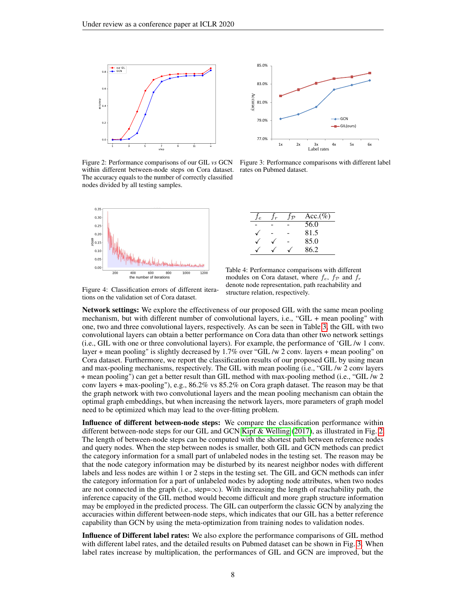<span id="page-7-0"></span>

within different between-node steps on Cora dataset. rates on Pubmed dataset. The accuracy equals to the number of correctly classified nodes divided by all testing samples.



|          | 85.0% |    |    |                   |    |                        |    |
|----------|-------|----|----|-------------------|----|------------------------|----|
|          | 83.0% |    |    |                   |    |                        |    |
| Accuracy | 81.0% |    |    |                   |    |                        |    |
|          | 79.0% |    |    |                   |    | -GCN<br>$-H-GIL(ours)$ |    |
|          | 77.0% | 1x | 2x | 3x<br>Label rates | 4x | 5x                     | 6x |

Figure 2: Performance comparisons of our GIL *vs* GCN Figure 3: Performance comparisons with different label

|  | $\mathcal{D}$ | $Acc.(\%)$ |
|--|---------------|------------|
|  |               | 56.0       |
|  |               | 81.5       |
|  |               | 85.0       |
|  |               | 86.2       |

<span id="page-7-1"></span>Figure 4: Classification errors of different iterations on the validation set of Cora dataset.

<span id="page-7-2"></span>Table 4: Performance comparisons with different modules on Cora dataset, where  $f_e$ ,  $f_{\mathcal{P}}$  and  $f_r$ denote node representation, path reachability and structure relation, respectively.

Network settings: We explore the effectiveness of our proposed GIL with the same mean pooling mechanism, but with different number of convolutional layers, i.e., "GIL + mean pooling" with one, two and three convolutional layers, respectively. As can be seen in Table [3,](#page-6-1) the GIL with two convolutional layers can obtain a better performance on Cora data than other two network settings (i.e., GIL with one or three convolutional layers). For example, the performance of 'GIL /w 1 conv. layer + mean pooling" is slightly decreased by 1.7% over "GIL /w 2 conv. layers + mean pooling" on Cora dataset. Furthermore, we report the classification results of our proposed GIL by using mean and max-pooling mechanisms, respectively. The GIL with mean pooling (i.e., "GIL /w 2 conv layers + mean pooling") can get a better result than GIL method with max-pooling method (i.e., "GIL /w 2 conv layers + max-pooling"), e.g., 86.2% vs 85.2% on Cora graph dataset. The reason may be that the graph network with two convolutional layers and the mean pooling mechanism can obtain the optimal graph embeddings, but when increasing the network layers, more parameters of graph model need to be optimized which may lead to the over-fitting problem.

Influence of different between-node steps: We compare the classification performance within different between-node steps for our GIL and GCN [Kipf & Welling](#page-9-3) [\(2017\)](#page-9-3), as illustrated in Fig. [2.](#page-7-0) The length of between-node steps can be computed with the shortest path between reference nodes and query nodes. When the step between nodes is smaller, both GIL and GCN methods can predict the category information for a small part of unlabeled nodes in the testing set. The reason may be that the node category information may be disturbed by its nearest neighbor nodes with different labels and less nodes are within 1 or 2 steps in the testing set. The GIL and GCN methods can infer the category information for a part of unlabeled nodes by adopting node attributes, when two nodes are not connected in the graph (i.e., step= $\infty$ ). With increasing the length of reachability path, the inference capacity of the GIL method would become difficult and more graph structure information may be employed in the predicted process. The GIL can outperform the classic GCN by analyzing the accuracies within different between-node steps, which indicates that our GIL has a better reference capability than GCN by using the meta-optimization from training nodes to validation nodes.

Influence of Different label rates: We also explore the performance comparisons of GIL method with different label rates, and the detailed results on Pubmed dataset can be shown in Fig. [3.](#page-7-0) When label rates increase by multiplication, the performances of GIL and GCN are improved, but the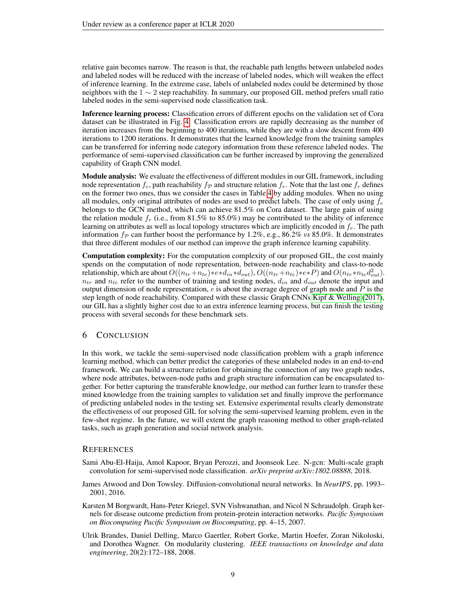relative gain becomes narrow. The reason is that, the reachable path lengths between unlabeled nodes and labeled nodes will be reduced with the increase of labeled nodes, which will weaken the effect of inference learning. In the extreme case, labels of unlabeled nodes could be determined by those neighbors with the  $1 \sim 2$  step reachability. In summary, our proposed GIL method prefers small ratio labeled nodes in the semi-supervised node classification task.

Inference learning process: Classification errors of different epochs on the validation set of Cora dataset can be illustrated in Fig. [4.](#page-7-1) Classification errors are rapidly decreasing as the number of iteration increases from the beginning to 400 iterations, while they are with a slow descent from 400 iterations to 1200 iterations. It demonstrates that the learned knowledge from the training samples can be transferred for inferring node category information from these reference labeled nodes. The performance of semi-supervised classification can be further increased by improving the generalized capability of Graph CNN model.

**Module analysis:** We evaluate the effectiveness of different modules in our GIL framework, including node representation  $f_e$ , path reachability  $f_p$  and structure relation  $f_r$ . Note that the last one  $f_r$  defines on the former two ones, thus we consider the cases in Table [4](#page-7-2) by adding modules. When no using all modules, only original attributes of nodes are used to predict labels. The case of only using  $f_e$ belongs to the GCN method, which can achieve 81.5% on Cora dataset. The large gain of using the relation module  $f_r$  (i.e., from 81.5% to 85.0%) may be contributed to the ability of inference learning on attributes as well as local topology structures which are implicitly encoded in  $f_e$ . The path information  $f_p$  can further boost the performance by 1.2%, e.g., 86.2% *vs* 85.0%. It demonstrates that three different modules of our method can improve the graph inference learning capability.

Computation complexity: For the computation complexity of our proposed GIL, the cost mainly spends on the computation of node representation, between-node reachability and class-to-node relationship, which are about  $O((n_{tr}+n_{te})*e*d_{in}*d_{out}), O((n_{tr}+n_{te})*e*f)$  and  $O(n_{tr}*n_{te}d_{out}^2)$ .  $n_{tr}$  and  $n_{te}$  refer to the number of training and testing nodes,  $d_{in}$  and  $d_{out}$  denote the input and output dimension of node representation,  $e$  is about the average degree of graph node and  $P$  is the step length of node reachability. Compared with these classic Graph CNNs [Kipf & Welling](#page-9-3) [\(2017\)](#page-9-3), our GIL has a slightly higher cost due to an extra inference learning process, but can finish the testing process with several seconds for these benchmark sets.

## 6 CONCLUSION

In this work, we tackle the semi-supervised node classification problem with a graph inference learning method, which can better predict the categories of these unlabeled nodes in an end-to-end framework. We can build a structure relation for obtaining the connection of any two graph nodes, where node attributes, between-node paths and graph structure information can be encapsulated together. For better capturing the transferable knowledge, our method can further learn to transfer these mined knowledge from the training samples to validation set and finally improve the performance of predicting unlabeled nodes in the testing set. Extensive experimental results clearly demonstrate the effectiveness of our proposed GIL for solving the semi-supervised learning problem, even in the few-shot regime. In the future, we will extent the graph reasoning method to other graph-related tasks, such as graph generation and social network analysis.

#### **REFERENCES**

- <span id="page-8-3"></span>Sami Abu-El-Haija, Amol Kapoor, Bryan Perozzi, and Joonseok Lee. N-gcn: Multi-scale graph convolution for semi-supervised node classification. *arXiv preprint arXiv:1802.08888*, 2018.
- <span id="page-8-2"></span>James Atwood and Don Towsley. Diffusion-convolutional neural networks. In *NeurIPS*, pp. 1993– 2001, 2016.
- <span id="page-8-0"></span>Karsten M Borgwardt, Hans-Peter Kriegel, SVN Vishwanathan, and Nicol N Schraudolph. Graph kernels for disease outcome prediction from protein-protein interaction networks. *Pacific Symposium on Biocomputing Pacific Symposium on Biocomputing*, pp. 4–15, 2007.
- <span id="page-8-1"></span>Ulrik Brandes, Daniel Delling, Marco Gaertler, Robert Gorke, Martin Hoefer, Zoran Nikoloski, and Dorothea Wagner. On modularity clustering. *IEEE transactions on knowledge and data engineering*, 20(2):172–188, 2008.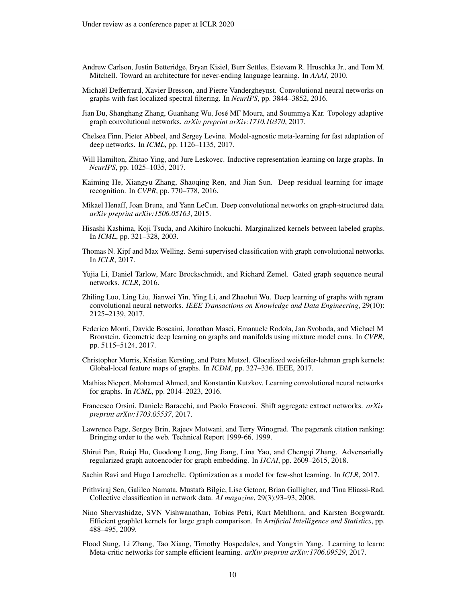- <span id="page-9-19"></span>Andrew Carlson, Justin Betteridge, Bryan Kisiel, Burr Settles, Estevam R. Hruschka Jr., and Tom M. Mitchell. Toward an architecture for never-ending language learning. In *AAAI*, 2010.
- <span id="page-9-7"></span>Michaël Defferrard, Xavier Bresson, and Pierre Vandergheynst. Convolutional neural networks on graphs with fast localized spectral filtering. In *NeurIPS*, pp. 3844–3852, 2016.
- <span id="page-9-16"></span>Jian Du, Shanghang Zhang, Guanhang Wu, José MF Moura, and Soummya Kar. Topology adaptive graph convolutional networks. *arXiv preprint arXiv:1710.10370*, 2017.
- <span id="page-9-8"></span>Chelsea Finn, Pieter Abbeel, and Sergey Levine. Model-agnostic meta-learning for fast adaptation of deep networks. In *ICML*, pp. 1126–1135, 2017.
- <span id="page-9-14"></span>Will Hamilton, Zhitao Ying, and Jure Leskovec. Inductive representation learning on large graphs. In *NeurIPS*, pp. 1025–1035, 2017.
- <span id="page-9-2"></span>Kaiming He, Xiangyu Zhang, Shaoqing Ren, and Jian Sun. Deep residual learning for image recognition. In *CVPR*, pp. 770–778, 2016.
- <span id="page-9-12"></span>Mikael Henaff, Joan Bruna, and Yann LeCun. Deep convolutional networks on graph-structured data. *arXiv preprint arXiv:1506.05163*, 2015.
- <span id="page-9-9"></span>Hisashi Kashima, Koji Tsuda, and Akihiro Inokuchi. Marginalized kernels between labeled graphs. In *ICML*, pp. 321–328, 2003.
- <span id="page-9-3"></span>Thomas N. Kipf and Max Welling. Semi-supervised classification with graph convolutional networks. In *ICLR*, 2017.
- <span id="page-9-13"></span>Yujia Li, Daniel Tarlow, Marc Brockschmidt, and Richard Zemel. Gated graph sequence neural networks. *ICLR*, 2016.
- <span id="page-9-15"></span>Zhiling Luo, Ling Liu, Jianwei Yin, Ying Li, and Zhaohui Wu. Deep learning of graphs with ngram convolutional neural networks. *IEEE Transactions on Knowledge and Data Engineering*, 29(10): 2125–2139, 2017.
- <span id="page-9-20"></span>Federico Monti, Davide Boscaini, Jonathan Masci, Emanuele Rodola, Jan Svoboda, and Michael M Bronstein. Geometric deep learning on graphs and manifolds using mixture model cnns. In *CVPR*, pp. 5115–5124, 2017.
- <span id="page-9-10"></span>Christopher Morris, Kristian Kersting, and Petra Mutzel. Glocalized weisfeiler-lehman graph kernels: Global-local feature maps of graphs. In *ICDM*, pp. 327–336. IEEE, 2017.
- <span id="page-9-4"></span>Mathias Niepert, Mohamed Ahmed, and Konstantin Kutzkov. Learning convolutional neural networks for graphs. In *ICML*, pp. 2014–2023, 2016.
- <span id="page-9-0"></span>Francesco Orsini, Daniele Baracchi, and Paolo Frasconi. Shift aggregate extract networks. *arXiv preprint arXiv:1703.05537*, 2017.
- <span id="page-9-1"></span>Lawrence Page, Sergey Brin, Rajeev Motwani, and Terry Winograd. The pagerank citation ranking: Bringing order to the web. Technical Report 1999-66, 1999.
- <span id="page-9-5"></span>Shirui Pan, Ruiqi Hu, Guodong Long, Jing Jiang, Lina Yao, and Chengqi Zhang. Adversarially regularized graph autoencoder for graph embedding. In *IJCAI*, pp. 2609–2615, 2018.
- <span id="page-9-17"></span>Sachin Ravi and Hugo Larochelle. Optimization as a model for few-shot learning. In *ICLR*, 2017.
- <span id="page-9-6"></span>Prithviraj Sen, Galileo Namata, Mustafa Bilgic, Lise Getoor, Brian Galligher, and Tina Eliassi-Rad. Collective classification in network data. *AI magazine*, 29(3):93–93, 2008.
- <span id="page-9-11"></span>Nino Shervashidze, SVN Vishwanathan, Tobias Petri, Kurt Mehlhorn, and Karsten Borgwardt. Efficient graphlet kernels for large graph comparison. In *Artificial Intelligence and Statistics*, pp. 488–495, 2009.
- <span id="page-9-18"></span>Flood Sung, Li Zhang, Tao Xiang, Timothy Hospedales, and Yongxin Yang. Learning to learn: Meta-critic networks for sample efficient learning. *arXiv preprint arXiv:1706.09529*, 2017.